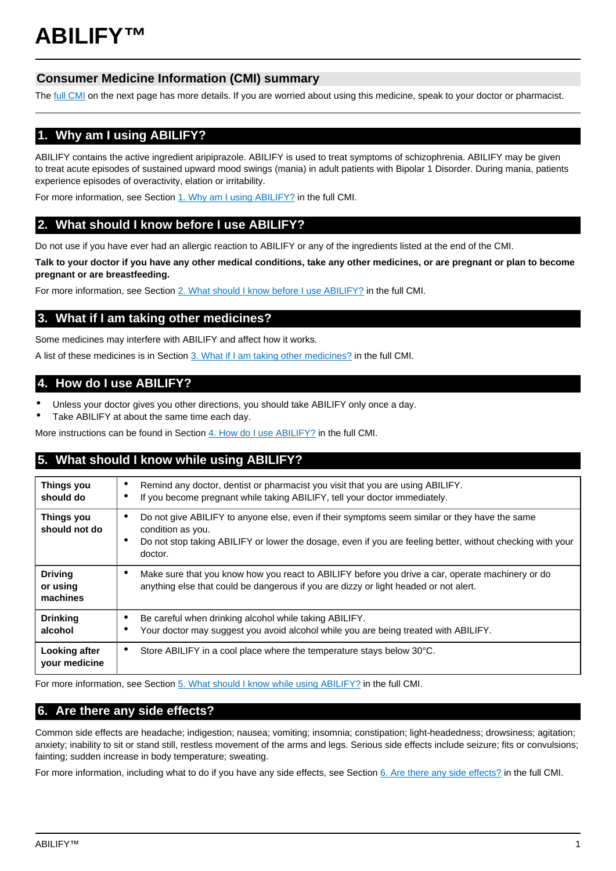# **Consumer Medicine Information (CMI) summary**

The [full CMI](#page-1-0) on the next page has more details. If you are worried about using this medicine, speak to your doctor or pharmacist.

# **1. Why am I using ABILIFY?**

ABILIFY contains the active ingredient aripiprazole. ABILIFY is used to treat symptoms of schizophrenia. ABILIFY may be given to treat acute episodes of sustained upward mood swings (mania) in adult patients with Bipolar 1 Disorder. During mania, patients experience episodes of overactivity, elation or irritability.

For more information, see Section [1. Why am I using ABILIFY?](#page-1-1) in the full CMI.

# **2. What should I know before I use ABILIFY?**

Do not use if you have ever had an allergic reaction to ABILIFY or any of the ingredients listed at the end of the CMI.

**Talk to your doctor if you have any other medical conditions, take any other medicines, or are pregnant or plan to become pregnant or are breastfeeding.**

For more information, see Section [2. What should I know before I use ABILIFY?](#page-1-2) in the full CMI.

# **3. What if I am taking other medicines?**

Some medicines may interfere with ABILIFY and affect how it works.

A list of these medicines is in Section [3. What if I am taking other medicines?](#page-2-0) in the full CMI.

# **4. How do I use ABILIFY?**

- Unless your doctor gives you other directions, you should take ABILIFY only once a day.
- Take ABILIFY at about the same time each day.

More instructions can be found in Section [4. How do I use ABILIFY?](#page-2-1) in the full CMI.

# **5. What should I know while using ABILIFY?**

| <b>Things you</b><br>should do         | Remind any doctor, dentist or pharmacist you visit that you are using ABILIFY.<br>٠<br>If you become pregnant while taking ABILIFY, tell your doctor immediately.<br>٠                                                                                |
|----------------------------------------|-------------------------------------------------------------------------------------------------------------------------------------------------------------------------------------------------------------------------------------------------------|
| <b>Things you</b><br>should not do     | Do not give ABILIFY to anyone else, even if their symptoms seem similar or they have the same<br>٠<br>condition as you.<br>Do not stop taking ABILIFY or lower the dosage, even if you are feeling better, without checking with your<br>٠<br>doctor. |
| <b>Driving</b><br>or using<br>machines | Make sure that you know how you react to ABILIFY before you drive a car, operate machinery or do<br>٠<br>anything else that could be dangerous if you are dizzy or light headed or not alert.                                                         |
| <b>Drinking</b><br>alcohol             | Be careful when drinking alcohol while taking ABILIFY.<br>٠<br>Your doctor may suggest you avoid alcohol while you are being treated with ABILIFY.                                                                                                    |
| Looking after<br>your medicine         | Store ABILIFY in a cool place where the temperature stays below 30°C.<br>$\bullet$                                                                                                                                                                    |

For more information, see Section [5. What should I know while using ABILIFY?](#page-2-2) in the full CMI.

# **6. Are there any side effects?**

Common side effects are headache; indigestion; nausea; vomiting; insomnia; constipation; light-headedness; drowsiness; agitation; anxiety; inability to sit or stand still, restless movement of the arms and legs. Serious side effects include seizure; fits or convulsions; fainting; sudden increase in body temperature; sweating.

For more information, including what to do if you have any side effects, see Section [6. Are there any side effects?](#page-3-0) in the full CMI.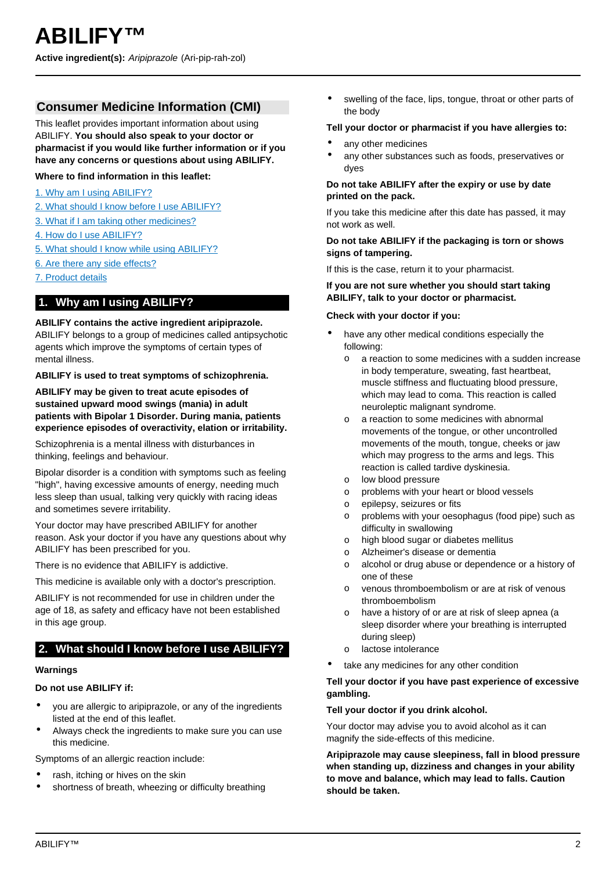# <span id="page-1-0"></span>**Consumer Medicine Information (CMI)**

This leaflet provides important information about using ABILIFY. **You should also speak to your doctor or pharmacist if you would like further information or if you have any concerns or questions about using ABILIFY.**

**Where to find information in this leaflet:**

- [1. Why am I using ABILIFY?](#page-1-1)
- [2. What should I know before I use ABILIFY?](#page-1-2)
- [3. What if I am taking other medicines?](#page-2-0)
- [4. How do I use ABILIFY?](#page-2-1)
- [5. What should I know while using ABILIFY?](#page-2-2)
- [6. Are there any side effects?](#page-3-0)
- [7. Product details](#page-4-0)

# <span id="page-1-1"></span>**1. Why am I using ABILIFY?**

# **ABILIFY contains the active ingredient aripiprazole.**

ABILIFY belongs to a group of medicines called antipsychotic agents which improve the symptoms of certain types of mental illness.

#### **ABILIFY is used to treat symptoms of schizophrenia.**

**ABILIFY may be given to treat acute episodes of sustained upward mood swings (mania) in adult patients with Bipolar 1 Disorder. During mania, patients experience episodes of overactivity, elation or irritability.**

Schizophrenia is a mental illness with disturbances in thinking, feelings and behaviour.

Bipolar disorder is a condition with symptoms such as feeling "high", having excessive amounts of energy, needing much less sleep than usual, talking very quickly with racing ideas and sometimes severe irritability.

Your doctor may have prescribed ABILIFY for another reason. Ask your doctor if you have any questions about why ABILIFY has been prescribed for you.

There is no evidence that ABILIFY is addictive.

This medicine is available only with a doctor's prescription.

ABILIFY is not recommended for use in children under the age of 18, as safety and efficacy have not been established in this age group.

# <span id="page-1-2"></span>**2. What should I know before I use ABILIFY?**

#### **Warnings**

#### **Do not use ABILIFY if:**

- you are allergic to aripiprazole, or any of the ingredients listed at the end of this leaflet.
- Always check the ingredients to make sure you can use this medicine.

Symptoms of an allergic reaction include:

- rash, itching or hives on the skin
- shortness of breath, wheezing or difficulty breathing

swelling of the face, lips, tongue, throat or other parts of the body

#### **Tell your doctor or pharmacist if you have allergies to:**

- any other medicines
- any other substances such as foods, preservatives or dyes

# **Do not take ABILIFY after the expiry or use by date printed on the pack.**

If you take this medicine after this date has passed, it may not work as well.

### **Do not take ABILIFY if the packaging is torn or shows signs of tampering.**

If this is the case, return it to your pharmacist.

### **If you are not sure whether you should start taking ABILIFY, talk to your doctor or pharmacist.**

#### **Check with your doctor if you:**

- have any other medical conditions especially the following:
	- o a reaction to some medicines with a sudden increase in body temperature, sweating, fast heartbeat, muscle stiffness and fluctuating blood pressure, which may lead to coma. This reaction is called neuroleptic malignant syndrome.
	- o a reaction to some medicines with abnormal movements of the tongue, or other uncontrolled movements of the mouth, tongue, cheeks or jaw which may progress to the arms and legs. This reaction is called tardive dyskinesia.
	- o low blood pressure
	- o problems with your heart or blood vessels
	- o epilepsy, seizures or fits
	- o problems with your oesophagus (food pipe) such as difficulty in swallowing
	- o high blood sugar or diabetes mellitus
	- o Alzheimer's disease or dementia
	- o alcohol or drug abuse or dependence or a history of one of these
	- o venous thromboembolism or are at risk of venous thromboembolism
	- o have a history of or are at risk of sleep apnea (a sleep disorder where your breathing is interrupted during sleep)
	- o lactose intolerance
- take any medicines for any other condition

# **Tell your doctor if you have past experience of excessive gambling.**

#### **Tell your doctor if you drink alcohol.**

Your doctor may advise you to avoid alcohol as it can magnify the side-effects of this medicine.

**Aripiprazole may cause sleepiness, fall in blood pressure when standing up, dizziness and changes in your ability to move and balance, which may lead to falls. Caution should be taken.**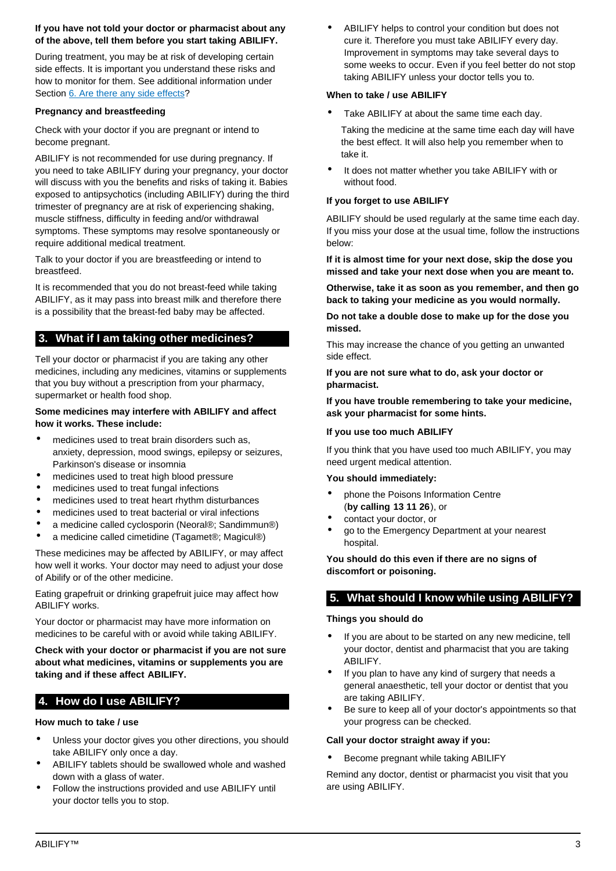# **If you have not told your doctor or pharmacist about any of the above, tell them before you start taking ABILIFY.**

During treatment, you may be at risk of developing certain side effects. It is important you understand these risks and how to monitor for them. See additional information under Section [6. Are there any side effects?](#page-3-0)

# **Pregnancy and breastfeeding**

Check with your doctor if you are pregnant or intend to become pregnant.

ABILIFY is not recommended for use during pregnancy. If you need to take ABILIFY during your pregnancy, your doctor will discuss with you the benefits and risks of taking it. Babies exposed to antipsychotics (including ABILIFY) during the third trimester of pregnancy are at risk of experiencing shaking, muscle stiffness, difficulty in feeding and/or withdrawal symptoms. These symptoms may resolve spontaneously or require additional medical treatment.

Talk to your doctor if you are breastfeeding or intend to breastfeed.

It is recommended that you do not breast-feed while taking ABILIFY, as it may pass into breast milk and therefore there is a possibility that the breast-fed baby may be affected.

# <span id="page-2-0"></span>**3. What if I am taking other medicines?**

Tell your doctor or pharmacist if you are taking any other medicines, including any medicines, vitamins or supplements that you buy without a prescription from your pharmacy, supermarket or health food shop.

# **Some medicines may interfere with ABILIFY and affect how it works. These include:**

- medicines used to treat brain disorders such as, anxiety, depression, mood swings, epilepsy or seizures, Parkinson's disease or insomnia
- medicines used to treat high blood pressure
- medicines used to treat fungal infections
- medicines used to treat heart rhythm disturbances
- medicines used to treat bacterial or viral infections
- a medicine called cyclosporin (Neoral®; Sandimmun®)
- a medicine called cimetidine (Tagamet®; Magicul®)

These medicines may be affected by ABILIFY, or may affect how well it works. Your doctor may need to adjust your dose of Abilify or of the other medicine.

Eating grapefruit or drinking grapefruit juice may affect how ABILIFY works.

Your doctor or pharmacist may have more information on medicines to be careful with or avoid while taking ABILIFY.

**Check with your doctor or pharmacist if you are not sure about what medicines, vitamins or supplements you are taking and if these affect ABILIFY.**

# <span id="page-2-1"></span>**4. How do I use ABILIFY?**

# **How much to take / use**

- Unless your doctor gives you other directions, you should take ABILIFY only once a day.
- ABILIFY tablets should be swallowed whole and washed down with a glass of water.
- Follow the instructions provided and use ABILIFY until your doctor tells you to stop.

ABILIFY helps to control your condition but does not cure it. Therefore you must take ABILIFY every day. Improvement in symptoms may take several days to some weeks to occur. Even if you feel better do not stop taking ABILIFY unless your doctor tells you to.

# **When to take / use ABILIFY**

Take ABILIFY at about the same time each day.

Taking the medicine at the same time each day will have the best effect. It will also help you remember when to take it.

It does not matter whether you take ABILIFY with or without food.

# **If you forget to use ABILIFY**

ABILIFY should be used regularly at the same time each day. If you miss your dose at the usual time, follow the instructions below:

**If it is almost time for your next dose, skip the dose you missed and take your next dose when you are meant to.**

**Otherwise, take it as soon as you remember, and then go back to taking your medicine as you would normally.**

**Do not take a double dose to make up for the dose you missed.**

This may increase the chance of you getting an unwanted side effect.

**If you are not sure what to do, ask your doctor or pharmacist.**

**If you have trouble remembering to take your medicine, ask your pharmacist for some hints.**

# **If you use too much ABILIFY**

If you think that you have used too much ABILIFY, you may need urgent medical attention.

#### **You should immediately:**

- phone the Poisons Information Centre (**by calling 13 11 26**), or
- contact your doctor, or
- go to the Emergency Department at your nearest hospital.

# **You should do this even if there are no signs of discomfort or poisoning.**

# <span id="page-2-2"></span>**5. What should I know while using ABILIFY?**

# **Things you should do**

- If you are about to be started on any new medicine, tell your doctor, dentist and pharmacist that you are taking ABILIFY.
- If you plan to have any kind of surgery that needs a general anaesthetic, tell your doctor or dentist that you are taking ABILIFY.
- Be sure to keep all of your doctor's appointments so that your progress can be checked.

#### **Call your doctor straight away if you:**

• Become pregnant while taking ABILIFY

Remind any doctor, dentist or pharmacist you visit that you are using ABILIFY.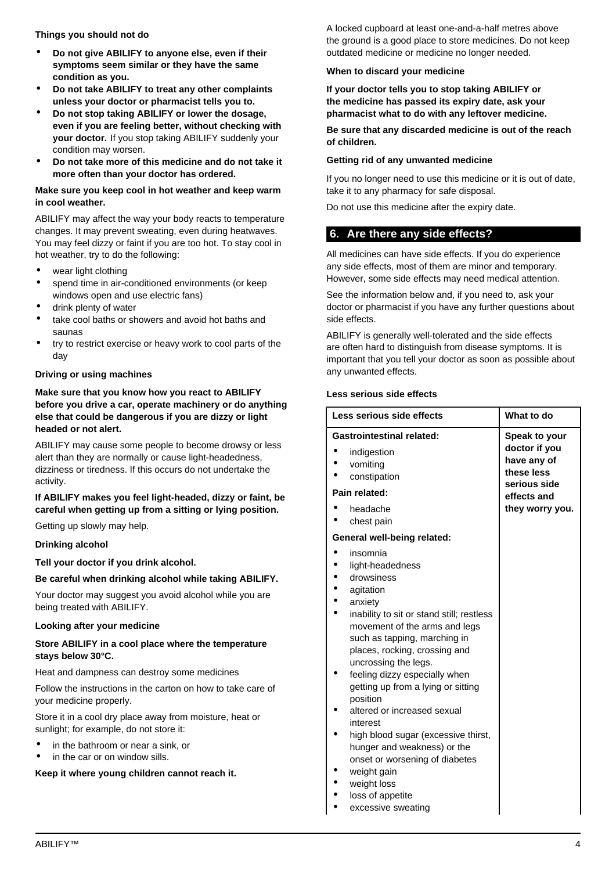**Things you should not do**

- **Do not give ABILIFY to anyone else, even if their symptoms seem similar or they have the same condition as you.**
- **Do not take ABILIFY to treat any other complaints unless your doctor or pharmacist tells you to.**
- **Do not stop taking ABILIFY or lower the dosage, even if you are feeling better, without checking with your doctor.** If you stop taking ABILIFY suddenly your condition may worsen.
- **Do not take more of this medicine and do not take it more often than your doctor has ordered.**

### **Make sure you keep cool in hot weather and keep warm in cool weather.**

ABILIFY may affect the way your body reacts to temperature changes. It may prevent sweating, even during heatwaves. You may feel dizzy or faint if you are too hot. To stay cool in hot weather, try to do the following:

- wear light clothing
- spend time in air-conditioned environments (or keep windows open and use electric fans)
- drink plenty of water
- take cool baths or showers and avoid hot baths and saunas
- try to restrict exercise or heavy work to cool parts of the day

#### **Driving or using machines**

**Make sure that you know how you react to ABILIFY before you drive a car, operate machinery or do anything else that could be dangerous if you are dizzy or light headed or not alert.**

ABILIFY may cause some people to become drowsy or less alert than they are normally or cause light-headedness, dizziness or tiredness. If this occurs do not undertake the activity.

# **If ABILIFY makes you feel light-headed, dizzy or faint, be careful when getting up from a sitting or lying position.**

Getting up slowly may help.

#### **Drinking alcohol**

**Tell your doctor if you drink alcohol.**

**Be careful when drinking alcohol while taking ABILIFY.**

Your doctor may suggest you avoid alcohol while you are being treated with ABILIFY.

#### **Looking after your medicine**

#### **Store ABILIFY in a cool place where the temperature stays below 30°C.**

Heat and dampness can destroy some medicines

Follow the instructions in the carton on how to take care of your medicine properly.

Store it in a cool dry place away from moisture, heat or sunlight; for example, do not store it:

- in the bathroom or near a sink, or
- in the car or on window sills.

**Keep it where young children cannot reach it.**

A locked cupboard at least one-and-a-half metres above the ground is a good place to store medicines. Do not keep outdated medicine or medicine no longer needed.

#### **When to discard your medicine**

**If your doctor tells you to stop taking ABILIFY or the medicine has passed its expiry date, ask your pharmacist what to do with any leftover medicine.**

**Be sure that any discarded medicine is out of the reach of children.**

#### **Getting rid of any unwanted medicine**

If you no longer need to use this medicine or it is out of date, take it to any pharmacy for safe disposal.

Do not use this medicine after the expiry date.

# <span id="page-3-0"></span>**6. Are there any side effects?**

All medicines can have side effects. If you do experience any side effects, most of them are minor and temporary. However, some side effects may need medical attention.

See the information below and, if you need to, ask your doctor or pharmacist if you have any further questions about side effects.

ABILIFY is generally well-tolerated and the side effects are often hard to distinguish from disease symptoms. It is important that you tell your doctor as soon as possible about any unwanted effects.

#### **Less serious side effects**

| Less serious side effects                                                                                                                                                                                                                                                                                                                                                                                                                                                                                                                | What to do                                                 |
|------------------------------------------------------------------------------------------------------------------------------------------------------------------------------------------------------------------------------------------------------------------------------------------------------------------------------------------------------------------------------------------------------------------------------------------------------------------------------------------------------------------------------------------|------------------------------------------------------------|
| <b>Gastrointestinal related:</b>                                                                                                                                                                                                                                                                                                                                                                                                                                                                                                         | Speak to your                                              |
| indigestion<br>vomiting<br>constipation                                                                                                                                                                                                                                                                                                                                                                                                                                                                                                  | doctor if you<br>have any of<br>these less<br>serious side |
| Pain related:                                                                                                                                                                                                                                                                                                                                                                                                                                                                                                                            | effects and                                                |
| headache<br>chest pain                                                                                                                                                                                                                                                                                                                                                                                                                                                                                                                   | they worry you.                                            |
| General well-being related:                                                                                                                                                                                                                                                                                                                                                                                                                                                                                                              |                                                            |
| insomnia<br>light-headedness<br>drowsiness<br>agitation<br>anxiety<br>inability to sit or stand still; restless<br>movement of the arms and legs<br>such as tapping, marching in<br>places, rocking, crossing and<br>uncrossing the legs.<br>feeling dizzy especially when<br>getting up from a lying or sitting<br>position<br>altered or increased sexual<br>interest<br>high blood sugar (excessive thirst,<br>hunger and weakness) or the<br>onset or worsening of diabetes<br>weight gain<br>weight loss<br>مغلقه مرمرم كمرام مرموا |                                                            |

- loss of appetite
- excessive sweating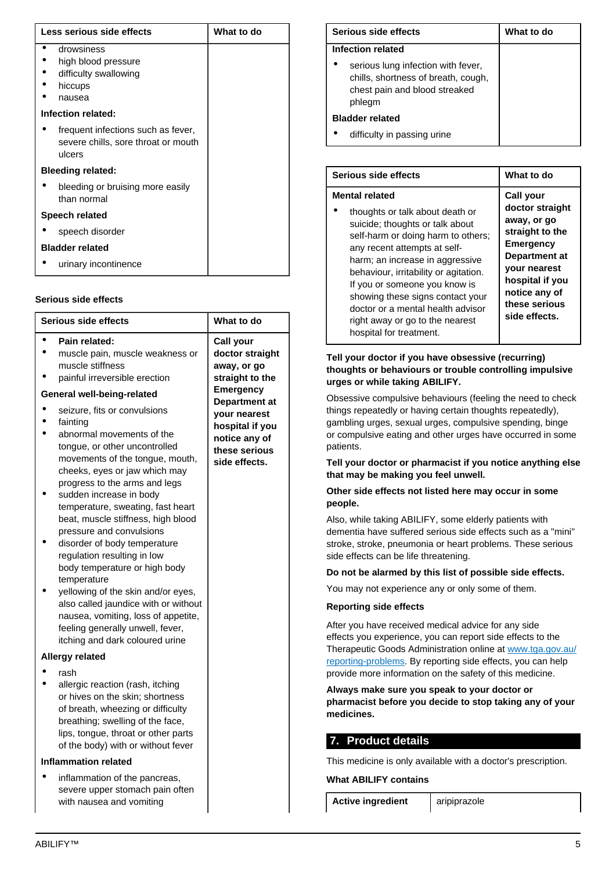| Less serious side effects |                                                                                     | What to do |  |
|---------------------------|-------------------------------------------------------------------------------------|------------|--|
|                           | drowsiness<br>high blood pressure<br>difficulty swallowing<br>hiccups<br>nausea     |            |  |
| Infection related:        |                                                                                     |            |  |
|                           | frequent infections such as fever,<br>severe chills, sore throat or mouth<br>ulcers |            |  |
| <b>Bleeding related:</b>  |                                                                                     |            |  |
|                           | bleeding or bruising more easily<br>than normal                                     |            |  |
| Speech related            |                                                                                     |            |  |
|                           | speech disorder                                                                     |            |  |
|                           | <b>Bladder related</b>                                                              |            |  |
|                           | urinary incontinence                                                                |            |  |

#### **Serious side effects**

| <b>Serious side effects</b>                                                                                                                                                                                                                                                                                                                                                                                                                                                                                                                                                                                                                                                                                                                                  | What to do                                                                                                                                                                                       |
|--------------------------------------------------------------------------------------------------------------------------------------------------------------------------------------------------------------------------------------------------------------------------------------------------------------------------------------------------------------------------------------------------------------------------------------------------------------------------------------------------------------------------------------------------------------------------------------------------------------------------------------------------------------------------------------------------------------------------------------------------------------|--------------------------------------------------------------------------------------------------------------------------------------------------------------------------------------------------|
| Pain related:<br>muscle pain, muscle weakness or<br>muscle stiffness<br>painful irreversible erection<br>General well-being-related<br>seizure, fits or convulsions<br>fainting<br>abnormal movements of the<br>tongue, or other uncontrolled<br>movements of the tongue, mouth,<br>cheeks, eyes or jaw which may<br>progress to the arms and legs<br>sudden increase in body<br>temperature, sweating, fast heart<br>beat, muscle stiffness, high blood<br>pressure and convulsions<br>disorder of body temperature<br>regulation resulting in low<br>body temperature or high body<br>temperature<br>yellowing of the skin and/or eyes,<br>also called jaundice with or without<br>nausea, vomiting, loss of appetite,<br>feeling generally unwell, fever, | <b>Call your</b><br>doctor straight<br>away, or go<br>straight to the<br><b>Emergency</b><br>Department at<br>your nearest<br>hospital if you<br>notice any of<br>these serious<br>side effects. |
| itching and dark coloured urine<br><b>Allergy related</b>                                                                                                                                                                                                                                                                                                                                                                                                                                                                                                                                                                                                                                                                                                    |                                                                                                                                                                                                  |
| rash<br>allergic reaction (rash, itching<br>or hives on the skin; shortness<br>of breath, wheezing or difficulty<br>breathing; swelling of the face,<br>lips, tongue, throat or other parts<br>of the body) with or without fever                                                                                                                                                                                                                                                                                                                                                                                                                                                                                                                            |                                                                                                                                                                                                  |
| <b>Inflammation related</b>                                                                                                                                                                                                                                                                                                                                                                                                                                                                                                                                                                                                                                                                                                                                  |                                                                                                                                                                                                  |
| inflammation of the pancreas,<br>severe upper stomach pain often<br>with nausea and vomiting                                                                                                                                                                                                                                                                                                                                                                                                                                                                                                                                                                                                                                                                 |                                                                                                                                                                                                  |

| Serious side effects                                                                                                 | What to do |
|----------------------------------------------------------------------------------------------------------------------|------------|
| Infection related                                                                                                    |            |
| serious lung infection with fever,<br>chills, shortness of breath, cough,<br>chest pain and blood streaked<br>phlegm |            |
| <b>Bladder related</b>                                                                                               |            |
| difficulty in passing urine                                                                                          |            |

| <b>Serious side effects</b>                                                                                                                                                                                                                                                                                                                                                                                           | What to do                                                                                                                                                                                |
|-----------------------------------------------------------------------------------------------------------------------------------------------------------------------------------------------------------------------------------------------------------------------------------------------------------------------------------------------------------------------------------------------------------------------|-------------------------------------------------------------------------------------------------------------------------------------------------------------------------------------------|
| <b>Mental related</b><br>thoughts or talk about death or<br>suicide; thoughts or talk about<br>self-harm or doing harm to others;<br>any recent attempts at self-<br>harm; an increase in aggressive<br>behaviour, irritability or agitation.<br>If you or someone you know is<br>showing these signs contact your<br>doctor or a mental health advisor<br>right away or go to the nearest<br>hospital for treatment. | Call your<br>doctor straight<br>away, or go<br>straight to the<br><b>Emergency</b><br>Department at<br>your nearest<br>hospital if you<br>notice any of<br>these serious<br>side effects. |

### **Tell your doctor if you have obsessive (recurring) thoughts or behaviours or trouble controlling impulsive urges or while taking ABILIFY.**

Obsessive compulsive behaviours (feeling the need to check things repeatedly or having certain thoughts repeatedly), gambling urges, sexual urges, compulsive spending, binge or compulsive eating and other urges have occurred in some patients.

# **Tell your doctor or pharmacist if you notice anything else that may be making you feel unwell.**

#### **Other side effects not listed here may occur in some people.**

Also, while taking ABILIFY, some elderly patients with dementia have suffered serious side effects such as a "mini" stroke, stroke, pneumonia or heart problems. These serious side effects can be life threatening.

# **Do not be alarmed by this list of possible side effects.**

You may not experience any or only some of them.

### **Reporting side effects**

After you have received medical advice for any side effects you experience, you can report side effects to the Therapeutic Goods Administration online at [www.tga.gov.au/](http://www.tga.gov.au/reporting-problems) [reporting-problems](http://www.tga.gov.au/reporting-problems). By reporting side effects, you can help provide more information on the safety of this medicine.

# **Always make sure you speak to your doctor or pharmacist before you decide to stop taking any of your medicines.**

# <span id="page-4-0"></span>**7. Product details**

This medicine is only available with a doctor's prescription.

# **What ABILIFY contains**

**Active ingredient** aripiprazole